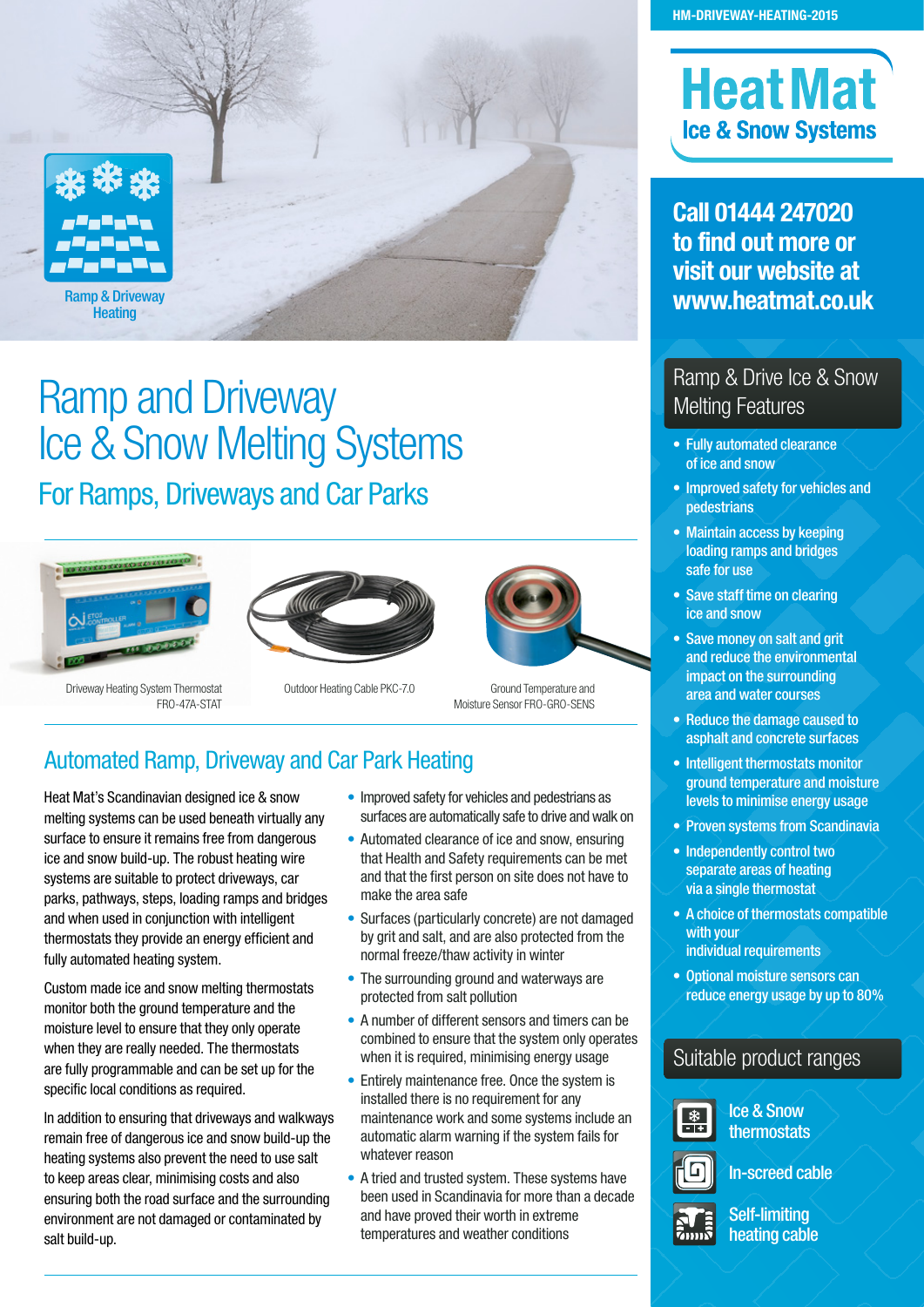

# Ramp and Driveway Ice & Snow Melting Systems For Ramps, Driveways and Car Parks







Driveway Heating System Thermostat FRO-47A-STAT

- Outdoor Heating Cable PKC-7.0
- Ground Temperature and Moisture Sensor FRO-GRO-SENS

## Automated Ramp, Driveway and Car Park Heating

Heat Mat's Scandinavian designed ice & snow melting systems can be used beneath virtually any surface to ensure it remains free from dangerous ice and snow build-up. The robust heating wire systems are suitable to protect driveways, car parks, pathways, steps, loading ramps and bridges and when used in conjunction with intelligent thermostats they provide an energy efficient and fully automated heating system.

Custom made ice and snow melting thermostats monitor both the ground temperature and the moisture level to ensure that they only operate when they are really needed. The thermostats are fully programmable and can be set up for the specific local conditions as required.

In addition to ensuring that driveways and walkways remain free of dangerous ice and snow build-up the heating systems also prevent the need to use salt to keep areas clear, minimising costs and also ensuring both the road surface and the surrounding environment are not damaged or contaminated by salt build-up.

- Improved safety for vehicles and pedestrians as surfaces are automatically safe to drive and walk on
- Automated clearance of ice and snow, ensuring that Health and Safety requirements can be met and that the first person on site does not have to make the area safe
- Surfaces (particularly concrete) are not damaged by grit and salt, and are also protected from the normal freeze/thaw activity in winter
- The surrounding ground and waterways are protected from salt pollution
- A number of different sensors and timers can be combined to ensure that the system only operates when it is required, minimising energy usage
- Entirely maintenance free. Once the system is installed there is no requirement for any maintenance work and some systems include an automatic alarm warning if the system fails for whatever reason
- A tried and trusted system. These systems have been used in Scandinavia for more than a decade and have proved their worth in extreme temperatures and weather conditions

# **Heat Mat Ice & Snow Systems**

**Call 01444 247020 to find out more or visit our website at www.heatmat.co.uk** 

## Ramp & Drive Ice & Snow Melting Features

- Fully automated clearance of ice and snow
- Improved safety for vehicles and pedestrians
- Maintain access by keeping loading ramps and bridges safe for use
- Save staff time on clearing ice and snow
- Save money on salt and grit and reduce the environmental impact on the surrounding area and water courses
- Reduce the damage caused to asphalt and concrete surfaces
- Intelligent thermostats monitor ground temperature and moisture levels to minimise energy usage
- Proven systems from Scandinavia
- Independently control two separate areas of heating via a single thermostat
- A choice of thermostats compatible with your individual requirements
- Optional moisture sensors can reduce energy usage by up to 80%

## Suitable product ranges



Ice & Snow thermostats





Self-limiting heating cable